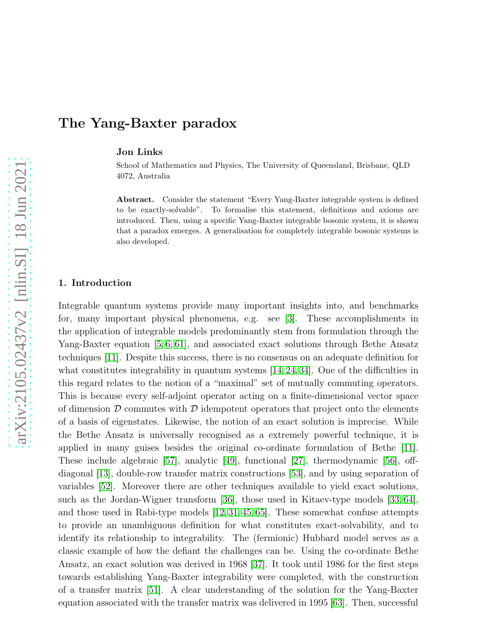# The Yang-Baxter paradox

Jon Links

School of Mathematics and Physics, The University of Queensland, Brisbane, QLD 4072, Australia

Abstract. Consider the statement "Every Yang-Baxter integrable system is defined to be exactly-solvable". To formalise this statement, definitions and axioms are introduced. Then, using a specific Yang-Baxter integrable bosonic system, it is shown that a paradox emerges. A generalisation for completely integrable bosonic systems is also developed.

## 1. Introduction

Integrable quantum systems provide many important insights into, and benchmarks for, many important physical phenomena, e.g. see [\[3\]](#page-13-0). These accomplishments in the application of integrable models predominantly stem from formulation through the Yang-Baxter equation [\[5,](#page-13-1) [6,](#page-13-2) [61\]](#page-15-0), and associated exact solutions through Bethe Ansatz techniques [\[11\]](#page-13-3). Despite this success, there is no consensus on an adequate definition for what constitutes integrability in quantum systems  $[14, 24, 34]$  $[14, 24, 34]$  $[14, 24, 34]$ . One of the difficulties in this regard relates to the notion of a "maximal" set of mutually commuting operators. This is because every self-adjoint operator acting on a finite-dimensional vector space of dimension  $\mathcal D$  commutes with  $\mathcal D$  idempotent operators that project onto the elements of a basis of eigenstates. Likewise, the notion of an exact solution is imprecise. While the Bethe Ansatz is universally recognised as a extremely powerful technique, it is applied in many guises besides the original co-ordinate formulation of Bethe [\[11\]](#page-13-3). These include algebraic [\[57\]](#page-15-1), analytic [\[49\]](#page-15-2), functional [\[27\]](#page-14-3), thermodynamic [\[56\]](#page-15-3), offdiagonal [\[13\]](#page-13-4), double-row transfer matrix constructions [\[53\]](#page-15-4), and by using separation of variables [\[52\]](#page-15-5). Moreover there are other techniques available to yield exact solutions, such as the Jordan-Wigner transform [\[36\]](#page-14-4), those used in Kitaev-type models [\[33,](#page-14-5) [64\]](#page-15-6), and those used in Rabi-type models [\[12,](#page-13-5) [31,](#page-14-6) [45,](#page-15-7) [65\]](#page-15-8). These somewhat confuse attempts to provide an unambiguous definition for what constitutes exact-solvability, and to identify its relationship to integrability. The (fermionic) Hubbard model serves as a classic example of how the defiant the challenges can be. Using the co-ordinate Bethe Ansatz, an exact solution was derived in 1968 [\[37\]](#page-14-7). It took until 1986 for the first steps towards establishing Yang-Baxter integrability were completed, with the construction of a transfer matrix [\[51\]](#page-15-9). A clear understanding of the solution for the Yang-Baxter equation associated with the transfer matrix was delivered in 1995 [\[63\]](#page-15-10). Then, successful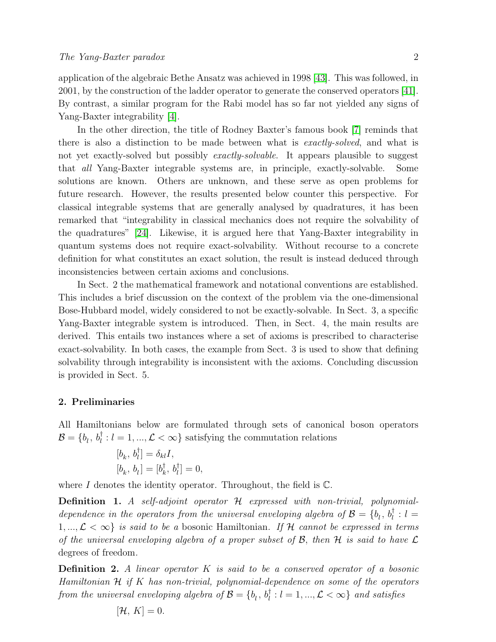application of the algebraic Bethe Ansatz was achieved in 1998 [\[43\]](#page-15-11). This was followed, in 2001, by the construction of the ladder operator to generate the conserved operators [\[41\]](#page-15-12). By contrast, a similar program for the Rabi model has so far not yielded any signs of Yang-Baxter integrability [\[4\]](#page-13-6).

In the other direction, the title of Rodney Baxter's famous book [\[7\]](#page-13-7) reminds that there is also a distinction to be made between what is exactly-solved, and what is not yet exactly-solved but possibly *exactly-solvable*. It appears plausible to suggest that all Yang-Baxter integrable systems are, in principle, exactly-solvable. Some solutions are known. Others are unknown, and these serve as open problems for future research. However, the results presented below counter this perspective. For classical integrable systems that are generally analysed by quadratures, it has been remarked that "integrability in classical mechanics does not require the solvability of the quadratures" [\[24\]](#page-14-1). Likewise, it is argued here that Yang-Baxter integrability in quantum systems does not require exact-solvability. Without recourse to a concrete definition for what constitutes an exact solution, the result is instead deduced through inconsistencies between certain axioms and conclusions.

In Sect. 2 the mathematical framework and notational conventions are established. This includes a brief discussion on the context of the problem via the one-dimensional Bose-Hubbard model, widely considered to not be exactly-solvable. In Sect. 3, a specific Yang-Baxter integrable system is introduced. Then, in Sect. 4, the main results are derived. This entails two instances where a set of axioms is prescribed to characterise exact-solvability. In both cases, the example from Sect. 3 is used to show that defining solvability through integrability is inconsistent with the axioms. Concluding discussion is provided in Sect. 5.

## 2. Preliminaries

All Hamiltonians below are formulated through sets of canonical boson operators  $\mathcal{B} = \{b_l, b_l^{\dagger} : l = 1, ..., \mathcal{L} < \infty\}$  satisfying the commutation relations

$$
\begin{aligned} [b_k, \, b_l^\dagger] &= \delta_{kl} I, \\ [b_k, \, b_l] &= [b_k^\dagger, \, b_l^\dagger] = 0, \end{aligned}
$$

where I denotes the identity operator. Throughout, the field is  $\mathbb{C}$ .

<span id="page-1-1"></span>Definition 1. A self-adjoint operator H expressed with non-trivial, polynomialdependence in the operators from the universal enveloping algebra of  $\mathcal{B} = \{b_l, b_l^{\dagger} : l =$  $1, ..., \mathcal{L} < \infty$  is said to be a bosonic Hamiltonian. If H cannot be expressed in terms of the universal enveloping algebra of a proper subset of  $\mathcal{B}$ , then  $\mathcal{H}$  is said to have  $\mathcal{L}$ degrees of freedom.

<span id="page-1-0"></span>**Definition 2.** A linear operator  $K$  is said to be a conserved operator of a bosonic Hamiltonian  $H$  if K has non-trivial, polynomial-dependence on some of the operators from the universal enveloping algebra of  $\mathcal{B}=\{b_l^-,b_l^\dagger: l=1,...,\mathcal{L}<\infty\}$  and satisfies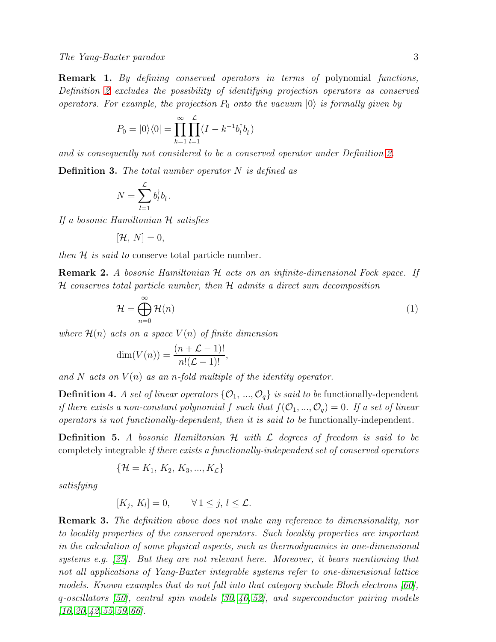Remark 1. By defining conserved operators in terms of polynomial functions, Definition [2](#page-1-0) excludes the possibility of identifying projection operators as conserved operators. For example, the projection  $P_0$  onto the vacuum  $|0\rangle$  is formally given by

$$
P_0 = |0\rangle\langle 0| = \prod_{k=1}^{\infty} \prod_{l=1}^{L} (I - k^{-1}b_l^{\dagger}b_l)
$$

and is consequently not considered to be a conserved operator under Definition [2.](#page-1-0)

<span id="page-2-0"></span>**Definition 3.** The total number operator  $N$  is defined as

$$
N = \sum_{l=1}^{\mathcal{L}} b_l^{\dagger} b_l.
$$

If a bosonic Hamiltonian H satisfies

$$
[\mathcal{H}, N] = 0,
$$

then  $\mathcal H$  is said to conserve total particle number.

**Remark 2.** A bosonic Hamiltonian H acts on an infinite-dimensional Fock space. If  $H$  conserves total particle number, then  $H$  admits a direct sum decomposition

<span id="page-2-1"></span>
$$
\mathcal{H} = \bigoplus_{n=0}^{\infty} \mathcal{H}(n) \tag{1}
$$

where  $\mathcal{H}(n)$  acts on a space  $V(n)$  of finite dimension

$$
\dim(V(n)) = \frac{(n+\mathcal{L}-1)!}{n!(\mathcal{L}-1)!},
$$

and N acts on  $V(n)$  as an n-fold multiple of the identity operator.

**Definition 4.** A set of linear operators  $\{O_1, ..., O_q\}$  is said to be functionally-dependent if there exists a non-constant polynomial f such that  $f(O_1, ..., O_q) = 0$ . If a set of linear operators is not functionally-dependent, then it is said to be functionally-independent.

<span id="page-2-2"></span>**Definition 5.** A bosonic Hamiltonian  $H$  with  $\mathcal L$  degrees of freedom is said to be completely integrable if there exists a functionally-independent set of conserved operators

$$
\{\mathcal{H} = K_1, K_2, K_3, ..., K_{\mathcal{L}}\}
$$

satisfying

$$
[K_j, K_l] = 0, \qquad \forall 1 \leq j, l \leq \mathcal{L}.
$$

Remark 3. The definition above does not make any reference to dimensionality, nor to locality properties of the conserved operators. Such locality properties are important in the calculation of some physical aspects, such as thermodynamics in one-dimensional systems e.g. [\[25\]](#page-14-8). But they are not relevant here. Moreover, it bears mentioning that not all applications of Yang-Baxter integrable systems refer to one-dimensional lattice models. Known examples that do not fall into that category include Bloch electrons [\[60\]](#page-15-13), q-oscillators [\[50\]](#page-15-14), central spin models [\[30,](#page-14-9) [46,](#page-15-15) [52\]](#page-15-5), and superconductor pairing models  $[16, 20, 42, 55, 59, 66]$  $[16, 20, 42, 55, 59, 66]$  $[16, 20, 42, 55, 59, 66]$  $[16, 20, 42, 55, 59, 66]$  $[16, 20, 42, 55, 59, 66]$  $[16, 20, 42, 55, 59, 66]$ .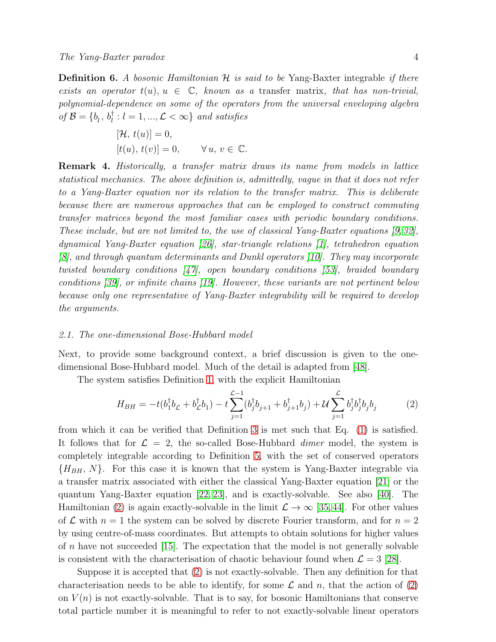<span id="page-3-1"></span>**Definition 6.** A bosonic Hamiltonian  $H$  is said to be Yang-Baxter integrable if there exists an operator  $t(u)$ ,  $u \in \mathbb{C}$ , known as a transfer matrix, that has non-trivial, polynomial-dependence on some of the operators from the universal enveloping algebra of  $\mathcal{B} = \{b_l, b_l^{\dagger} : l = 1, ..., \mathcal{L} < \infty\}$  and satisfies

$$
[\mathcal{H}, t(u)] = 0,
$$
  

$$
[t(u), t(v)] = 0, \quad \forall u, v \in \mathbb{C}.
$$

Remark 4. Historically, a transfer matrix draws its name from models in lattice statistical mechanics. The above definition is, admittedly, vague in that it does not refer to a Yang-Baxter equation nor its relation to the transfer matrix. This is deliberate because there are numerous approaches that can be employed to construct commuting transfer matrices beyond the most familiar cases with periodic boundary conditions. These include, but are not limited to, the use of classical Yang-Baxter equations [\[9,](#page-13-8) [32\]](#page-14-12), dynamical Yang-Baxter equation [\[26\]](#page-14-13), star-triangle relations [\[1\]](#page-13-9), tetrahedron equation [\[8\]](#page-13-10), and through quantum determinants and Dunkl operators [\[10\]](#page-13-11). They may incorporate twisted boundary conditions [\[47\]](#page-15-20), open boundary conditions [\[53\]](#page-15-4), braided boundary conditions [\[39\]](#page-14-14), or infinite chains [\[19\]](#page-14-15). However, these variants are not pertinent below because only one representative of Yang-Baxter integrability will be required to develop the arguments.

#### 2.1. The one-dimensional Bose-Hubbard model

Next, to provide some background context, a brief discussion is given to the onedimensional Bose-Hubbard model. Much of the detail is adapted from [\[48\]](#page-15-21).

The system satisfies Definition [1,](#page-1-1) with the explicit Hamiltonian

<span id="page-3-0"></span>
$$
H_{BH} = -t(b_1^{\dagger}b_{\mathcal{L}} + b_{\mathcal{L}}^{\dagger}b_1) - t\sum_{j=1}^{\mathcal{L}-1} (b_j^{\dagger}b_{j+1} + b_{j+1}^{\dagger}b_j) + \mathcal{U}\sum_{j=1}^{\mathcal{L}} b_j^{\dagger}b_j^{\dagger}b_j b_j \tag{2}
$$

from which it can be verified that Definition [3](#page-2-0) is met such that Eq. [\(1\)](#page-2-1) is satisfied. It follows that for  $\mathcal{L} = 2$ , the so-called Bose-Hubbard *dimer* model, the system is completely integrable according to Definition [5,](#page-2-2) with the set of conserved operators  ${H_{BH}, N}$ . For this case it is known that the system is Yang-Baxter integrable via a transfer matrix associated with either the classical Yang-Baxter equation [\[21\]](#page-14-16) or the quantum Yang-Baxter equation [\[22,](#page-14-17) [23\]](#page-14-18), and is exactly-solvable. See also [\[40\]](#page-15-22). The Hamiltonian [\(2\)](#page-3-0) is again exactly-solvable in the limit  $\mathcal{L} \to \infty$  [\[35,](#page-14-19)44]. For other values of  $\mathcal L$  with  $n = 1$  the system can be solved by discrete Fourier transform, and for  $n = 2$ by using centre-of-mass coordinates. But attempts to obtain solutions for higher values of  $n$  have not succeeded [\[15\]](#page-14-20). The expectation that the model is not generally solvable is consistent with the characterisation of chaotic behaviour found when  $\mathcal{L} = 3$  [\[28\]](#page-14-21).

Suppose it is accepted that [\(2\)](#page-3-0) is not exactly-solvable. Then any definition for that characterisation needs to be able to identify, for some  $\mathcal L$  and n, that the action of [\(2\)](#page-3-0) on  $V(n)$  is not exactly-solvable. That is to say, for bosonic Hamiltonians that conserve total particle number it is meaningful to refer to not exactly-solvable linear operators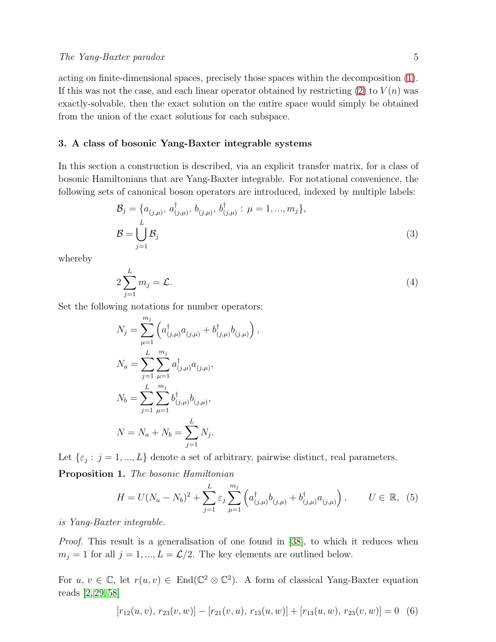acting on finite-dimensional spaces, precisely those spaces within the decomposition [\(1\)](#page-2-1). If this was not the case, and each linear operator obtained by restricting  $(2)$  to  $V(n)$  was exactly-solvable, then the exact solution on the entire space would simply be obtained from the union of the exact solutions for each subspace.

## 3. A class of bosonic Yang-Baxter integrable systems

In this section a construction is described, via an explicit transfer matrix, for a class of bosonic Hamiltonians that are Yang-Baxter integrable. For notational convenience, the following sets of canonical boson operators are introduced, indexed by multiple labels:

<span id="page-4-1"></span>
$$
\mathcal{B}_{j} = \{a_{(j,\mu)}, a_{(j,\mu)}^{\dagger}, b_{(j,\mu)}, b_{(j,\mu)}^{\dagger} : \mu = 1, ..., m_{j}\},
$$
  

$$
\mathcal{B} = \bigcup_{j=1}^{L} \mathcal{B}_{j}
$$
 (3)

whereby

<span id="page-4-3"></span>
$$
2\sum_{j=1}^{L}m_j=\mathcal{L}.\tag{4}
$$

,

Set the following notations for number operators:

$$
N_j = \sum_{\mu=1}^{m_j} \left( a^{\dagger}_{(j,\mu)} a_{(j,\mu)} + b^{\dagger}_{(j,\mu)} b_{(j,\mu)} \right)
$$
  
\n
$$
N_a = \sum_{j=1}^{L} \sum_{\mu=1}^{m_j} a^{\dagger}_{(j,\mu)} a_{(j,\mu)},
$$
  
\n
$$
N_b = \sum_{j=1}^{L} \sum_{\mu=1}^{m_j} b^{\dagger}_{(j,\mu)} b_{(j,\mu)},
$$
  
\n
$$
N = N_a + N_b = \sum_{j=1}^{L} N_j.
$$

<span id="page-4-4"></span>Let  $\{\varepsilon_j : j = 1, ..., L\}$  denote a set of arbitrary, pairwise distinct, real parameters. Proposition 1. The bosonic Hamiltonian

<span id="page-4-2"></span>
$$
H = U(N_a - N_b)^2 + \sum_{j=1}^{L} \varepsilon_j \sum_{\mu=1}^{m_j} \left( a_{(j,\mu)}^{\dagger} b_{(j,\mu)} + b_{(j,\mu)}^{\dagger} a_{(j,\mu)} \right), \qquad U \in \mathbb{R}, \tag{5}
$$

is Yang-Baxter integrable.

*Proof.* This result is a generalisation of one found in [\[38\]](#page-14-22), to which it reduces when  $m_j = 1$  for all  $j = 1, ..., L = \mathcal{L}/2$ . The key elements are outlined below.

For  $u, v \in \mathbb{C}$ , let  $r(u, v) \in End(\mathbb{C}^2 \otimes \mathbb{C}^2)$ . A form of classical Yang-Baxter equation reads [\[2,](#page-13-12) [29,](#page-14-23) [58\]](#page-15-24)

<span id="page-4-0"></span>
$$
[r_{12}(u, v), r_{23}(v, w)] - [r_{21}(v, u), r_{13}(u, w)] + [r_{13}(u, w), r_{23}(v, w)] = 0
$$
 (6)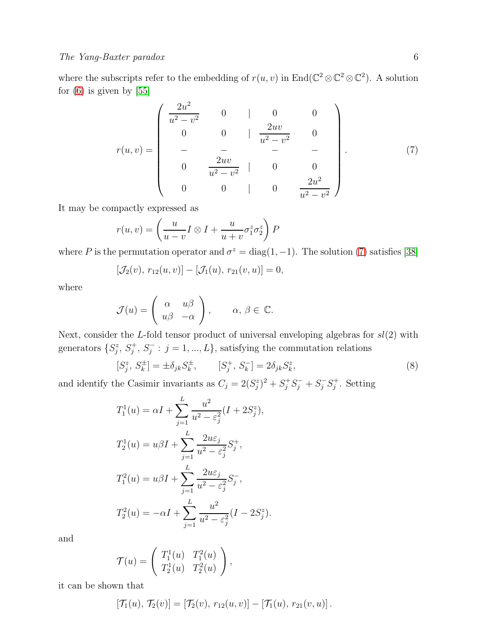where the subscripts refer to the embedding of  $r(u, v)$  in  $\text{End}(\mathbb{C}^2 \otimes \mathbb{C}^2 \otimes \mathbb{C}^2)$ . A solution for  $(6)$  is given by  $[55]$ 

<span id="page-5-0"></span>
$$
r(u,v) = \begin{pmatrix} \frac{2u^2}{u^2 - v^2} & 0 & | & 0 & 0 \\ 0 & 0 & | & \frac{2uv}{u^2 - v^2} & 0 \\ - & - & - & - & - \\ 0 & \frac{2uv}{u^2 - v^2} & | & 0 & 0 \\ 0 & 0 & | & 0 & \frac{2u^2}{u^2 - v^2} \end{pmatrix}.
$$
 (7)

It may be compactly expressed as

$$
r(u, v) = \left(\frac{u}{u - v}I \otimes I + \frac{u}{u + v}\sigma_1^z \sigma_2^z\right)P
$$

where P is the permutation operator and  $\sigma^z = \text{diag}(1, -1)$ . The solution [\(7\)](#page-5-0) satisfies [\[38\]](#page-14-22)

$$
[\mathcal{J}_2(v), r_{12}(u, v)] - [\mathcal{J}_1(u), r_{21}(v, u)] = 0,
$$

where

$$
\mathcal{J}(u) = \begin{pmatrix} \alpha & u\beta \\ u\beta & -\alpha \end{pmatrix}, \qquad \alpha, \beta \in \mathbb{C}.
$$

Next, consider the L-fold tensor product of universal enveloping algebras for  $sl(2)$  with generators  $\{S_j^z, S_j^+, S_j^- : j = 1, ..., L\}$ , satisfying the commutation relations

<span id="page-5-1"></span>
$$
[S_j^z, S_k^{\pm}] = \pm \delta_{jk} S_k^{\pm}, \qquad [S_j^+, S_k^-] = 2\delta_{jk} S_k^z,\tag{8}
$$

and identify the Casimir invariants as  $C_j = 2(S_j^z)^2 + S_j^+S_j^- + S_j^-S_j^+$ . Setting

$$
T_1^1(u) = \alpha I + \sum_{j=1}^L \frac{u^2}{u^2 - \varepsilon_j^2} (I + 2S_j^z),
$$
  
\n
$$
T_2^1(u) = u\beta I + \sum_{j=1}^L \frac{2u\varepsilon_j}{u^2 - \varepsilon_j^2} S_j^+,
$$
  
\n
$$
T_1^2(u) = u\beta I + \sum_{j=1}^L \frac{2u\varepsilon_j}{u^2 - \varepsilon_j^2} S_j^-,
$$
  
\n
$$
T_2^2(u) = -\alpha I + \sum_{j=1}^L \frac{u^2}{u^2 - \varepsilon_j^2} (I - 2S_j^z).
$$

and

$$
\mathcal{T}(u) = \left( \begin{array}{cc} T_1^1(u) & T_1^2(u) \\ T_2^1(u) & T_2^2(u) \end{array} \right),
$$

it can be shown that

$$
[\mathcal{T}_1(u), \mathcal{T}_2(v)] = [\mathcal{T}_2(v), r_{12}(u, v)] - [\mathcal{T}_1(u), r_{21}(v, u)].
$$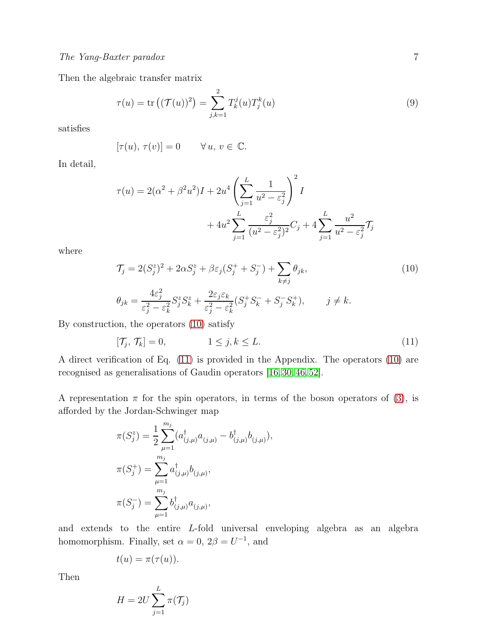Then the algebraic transfer matrix

$$
\tau(u) = \text{tr}\left( (\mathcal{T}(u))^2 \right) = \sum_{j,k=1}^2 T_k^j(u) T_j^k(u) \tag{9}
$$

satisfies

$$
[\tau(u),\,\tau(v)]=0\qquad\forall\,u,\,v\in\,{\mathbb C}.
$$

In detail,

$$
\tau(u) = 2(\alpha^2 + \beta^2 u^2)I + 2u^4 \left(\sum_{j=1}^L \frac{1}{u^2 - \varepsilon_j^2}\right)^2 I
$$
  
+ 
$$
4u^2 \sum_{j=1}^L \frac{\varepsilon_j^2}{(u^2 - \varepsilon_j^2)^2} C_j + 4 \sum_{j=1}^L \frac{u^2}{u^2 - \varepsilon_j^2} \mathcal{T}_j
$$

where

<span id="page-6-0"></span>
$$
\mathcal{T}_j = 2(S_j^z)^2 + 2\alpha S_j^z + \beta \varepsilon_j (S_j^+ + S_j^-) + \sum_{k \neq j} \theta_{jk},
$$
  
\n
$$
\theta_{jk} = \frac{4\varepsilon_j^2}{\varepsilon_j^2 - \varepsilon_k^2} S_j^z S_k^z + \frac{2\varepsilon_j \varepsilon_k}{\varepsilon_j^2 - \varepsilon_k^2} (S_j^+ S_k^- + S_j^- S_k^+), \qquad j \neq k.
$$
\n(10)

By construction, the operators [\(10\)](#page-6-0) satisfy

<span id="page-6-1"></span>
$$
[\mathcal{T}_j, \mathcal{T}_k] = 0, \qquad 1 \le j, k \le L. \tag{11}
$$

A direct verification of Eq. [\(11\)](#page-6-1) is provided in the Appendix. The operators [\(10\)](#page-6-0) are recognised as generalisations of Gaudin operators [\[16,](#page-14-10) [30,](#page-14-9) [46,](#page-15-15) [52\]](#page-15-5).

A representation  $\pi$  for the spin operators, in terms of the boson operators of [\(3\)](#page-4-1), is afforded by the Jordan-Schwinger map

$$
\pi(S_j^z) = \frac{1}{2} \sum_{\mu=1}^{m_j} (a_{(j,\mu)}^\dagger a_{(j,\mu)} - b_{(j,\mu)}^\dagger b_{(j,\mu)}),
$$

$$
\pi(S_j^+) = \sum_{\mu=1}^{m_j} a_{(j,\mu)}^\dagger b_{(j,\mu)},
$$

$$
\pi(S_j^-) = \sum_{\mu=1}^{m_j} b_{(j,\mu)}^\dagger a_{(j,\mu)},
$$

and extends to the entire L-fold universal enveloping algebra as an algebra homomorphism. Finally, set  $\alpha = 0$ ,  $2\beta = U^{-1}$ , and

$$
t(u) = \pi(\tau(u)).
$$

Then

$$
H = 2U \sum_{j=1}^{L} \pi(\mathcal{T}_j)
$$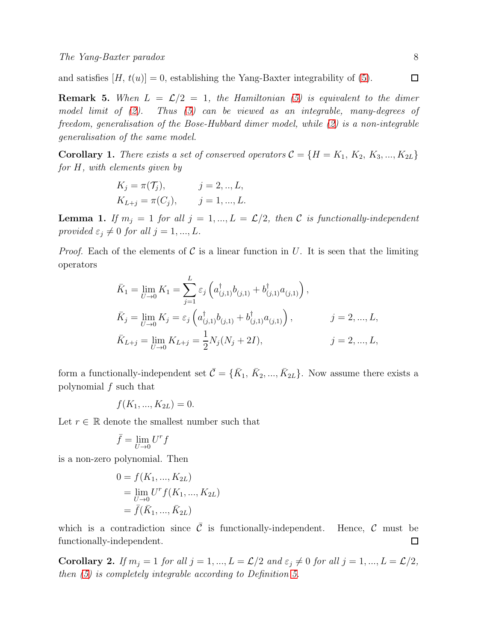and satisfies  $[H, t(u)] = 0$ , establishing the Yang-Baxter integrability of [\(5\)](#page-4-2).

**Remark 5.** When  $L = \mathcal{L}/2 = 1$ , the Hamiltonian [\(5\)](#page-4-2) is equivalent to the dimer model limit of [\(2\)](#page-3-0). Thus [\(5\)](#page-4-2) can be viewed as an integrable, many-degrees of freedom, generalisation of the Bose-Hubbard dimer model, while [\(2\)](#page-3-0) is a non-integrable generalisation of the same model.

<span id="page-7-1"></span>**Corollary 1.** There exists a set of conserved operators  $C = \{H = K_1, K_2, K_3, ..., K_{2L}\}\$ for H, with elements given by

$$
K_j = \pi(\mathcal{T}_j),
$$
  $j = 2, ..., L,$   
\n $K_{L+j} = \pi(C_j),$   $j = 1, ..., L.$ 

**Lemma 1.** If  $m_j = 1$  for all  $j = 1, ..., L = \mathcal{L}/2$ , then C is functionally-independent provided  $\varepsilon_j \neq 0$  for all  $j = 1, ..., L$ .

*Proof.* Each of the elements of C is a linear function in U. It is seen that the limiting operators

$$
\bar{K}_1 = \lim_{U \to 0} K_1 = \sum_{j=1}^{L} \varepsilon_j \left( a^{\dagger}_{(j,1)} b_{(j,1)} + b^{\dagger}_{(j,1)} a_{(j,1)} \right),
$$
\n
$$
\bar{K}_j = \lim_{U \to 0} K_j = \varepsilon_j \left( a^{\dagger}_{(j,1)} b_{(j,1)} + b^{\dagger}_{(j,1)} a_{(j,1)} \right), \qquad j = 2, ..., L,
$$
\n
$$
\bar{K}_{L+j} = \lim_{U \to 0} K_{L+j} = \frac{1}{2} N_j (N_j + 2I), \qquad j = 2, ..., L,
$$

form a functionally-independent set  $\bar{C} = \{\bar{K}_1, \bar{K}_2, ..., \bar{K}_{2L}\}\$ . Now assume there exists a polynomial f such that

$$
f(K_1, ..., K_{2L}) = 0.
$$

Let  $r \in \mathbb{R}$  denote the smallest number such that

$$
\bar{f} = \lim_{U \to 0} U^r f
$$

is a non-zero polynomial. Then

$$
0 = f(K_1, ..., K_{2L})
$$
  
=  $\lim_{U \to 0} U^r f(K_1, ..., K_{2L})$   
=  $\bar{f}(\bar{K}_1, ..., \bar{K}_{2L})$ 

which is a contradiction since  $\overline{C}$  is functionally-independent. Hence,  $C$  must be functionally-independent.  $\Box$ 

<span id="page-7-0"></span>Corollary 2. If  $m_j = 1$  for all  $j = 1, ..., L = \mathcal{L}/2$  and  $\varepsilon_j \neq 0$  for all  $j = 1, ..., L = \mathcal{L}/2$ , then [\(5\)](#page-4-2) is completely integrable according to Definition [5.](#page-2-2)

 $\Box$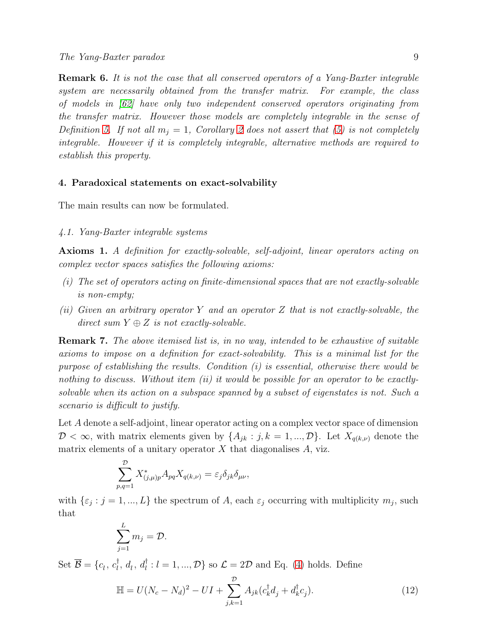Remark 6. It is not the case that all conserved operators of a Yang-Baxter integrable system are necessarily obtained from the transfer matrix. For example, the class of models in [\[62\]](#page-15-25) have only two independent conserved operators originating from the transfer matrix. However those models are completely integrable in the sense of Definition [5.](#page-2-2) If not all  $m_i = 1$ , Corollary [2](#page-7-0) does not assert that [\(5\)](#page-4-2) is not completely integrable. However if it is completely integrable, alternative methods are required to establish this property.

## <span id="page-8-2"></span>4. Paradoxical statements on exact-solvability

The main results can now be formulated.

#### 4.1. Yang-Baxter integrable systems

<span id="page-8-1"></span>Axioms 1. A definition for exactly-solvable, self-adjoint, linear operators acting on complex vector spaces satisfies the following axioms:

- (i) The set of operators acting on finite-dimensional spaces that are not exactly-solvable is non-empty;
- (ii) Given an arbitrary operator Y and an operator Z that is not exactly-solvable, the direct sum  $Y \oplus Z$  is not exactly-solvable.

**Remark 7.** The above itemised list is, in no way, intended to be exhaustive of suitable axioms to impose on a definition for exact-solvability. This is a minimal list for the purpose of establishing the results. Condition  $(i)$  is essential, otherwise there would be nothing to discuss. Without item (ii) it would be possible for an operator to be exactlysolvable when its action on a subspace spanned by a subset of eigenstates is not. Such a scenario is difficult to justify.

Let A denote a self-adjoint, linear operator acting on a complex vector space of dimension  $\mathcal{D} < \infty$ , with matrix elements given by  $\{A_{jk} : j, k = 1, ..., \mathcal{D}\}\$ . Let  $X_{q(k,\nu)}$  denote the matrix elements of a unitary operator  $X$  that diagonalises  $A$ , viz.

$$
\sum_{p,q=1}^{\mathcal{D}} X_{(j,\mu)p}^* A_{pq} X_{q(k,\nu)} = \varepsilon_j \delta_{jk} \delta_{\mu\nu},
$$

with  $\{\varepsilon_j : j = 1, ..., L\}$  the spectrum of A, each  $\varepsilon_j$  occurring with multiplicity  $m_j$ , such that

$$
\sum_{j=1}^{L} m_j = \mathcal{D}.
$$

Set  $\overline{\mathcal{B}} = \{c_l, c_l^{\dagger}$  $l_i^{\dagger}, d_l, d_l^{\dagger} : l = 1, ..., \mathcal{D}$  so  $\mathcal{L} = 2\mathcal{D}$  and Eq. [\(4\)](#page-4-3) holds. Define

<span id="page-8-0"></span>
$$
\mathbb{H} = U(N_c - N_d)^2 - UI + \sum_{j,k=1}^{\mathcal{D}} A_{jk} (c_k^{\dagger} d_j + d_k^{\dagger} c_j).
$$
 (12)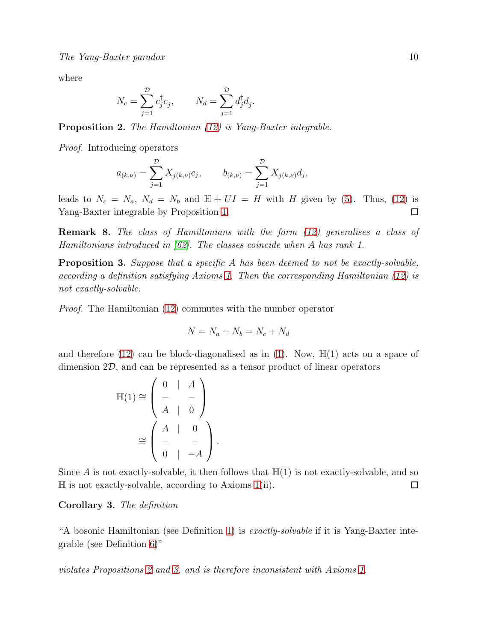where

$$
N_c = \sum_{j=1}^{\mathcal{D}} c_j^{\dagger} c_j, \qquad N_d = \sum_{j=1}^{\mathcal{D}} d_j^{\dagger} d_j.
$$

<span id="page-9-0"></span>Proposition 2. The Hamiltonian [\(12\)](#page-8-0) is Yang-Baxter integrable.

Proof. Introducing operators

$$
a_{(k,\nu)} = \sum_{j=1}^{\mathcal{D}} X_{j(k,\nu)} c_j, \qquad b_{(k,\nu)} = \sum_{j=1}^{\mathcal{D}} X_{j(k,\nu)} d_j,
$$

leads to  $N_c = N_a$ ,  $N_d = N_b$  and  $\mathbb{H} + UI = H$  with H given by [\(5\)](#page-4-2). Thus, [\(12\)](#page-8-0) is Yang-Baxter integrable by Proposition [1.](#page-4-4)  $\Box$ 

Remark 8. The class of Hamiltonians with the form [\(12\)](#page-8-0) generalises a class of Hamiltonians introduced in [\[62\]](#page-15-25). The classes coincide when A has rank 1.

<span id="page-9-1"></span>Proposition 3. Suppose that a specific A has been deemed to not be exactly-solvable, according a definition satisfying Axioms [1.](#page-8-1) Then the corresponding Hamiltonian [\(12\)](#page-8-0) is not exactly-solvable.

Proof. The Hamiltonian [\(12\)](#page-8-0) commutes with the number operator

$$
N = N_a + N_b = N_c + N_d
$$

and therefore [\(12\)](#page-8-0) can be block-diagonalised as in [\(1\)](#page-2-1). Now,  $\mathbb{H}(1)$  acts on a space of dimension 2D, and can be represented as a tensor product of linear operators

$$
\mathbb{H}(1) \cong \left(\begin{array}{cc} 0 & | & A \\ - & - & - \\ A & | & 0 \end{array}\right) \\
\cong \left(\begin{array}{cc} A & | & 0 \\ - & - & - \\ 0 & | & -A \end{array}\right).
$$

Since A is not exactly-solvable, it then follows that  $\mathbb{H}(1)$  is not exactly-solvable, and so  $\mathbb H$  is not exactly-solvable, according to Axioms [1\(](#page-8-1)ii).  $\Box$ 

#### Corollary 3. The definition

"A bosonic Hamiltonian (see Definition [1\)](#page-1-1) is *exactly-solvable* if it is Yang-Baxter integrable (see Definition [6\)](#page-3-1)"

violates Propositions [2](#page-9-0) and [3,](#page-9-1) and is therefore inconsistent with Axioms [1.](#page-8-1)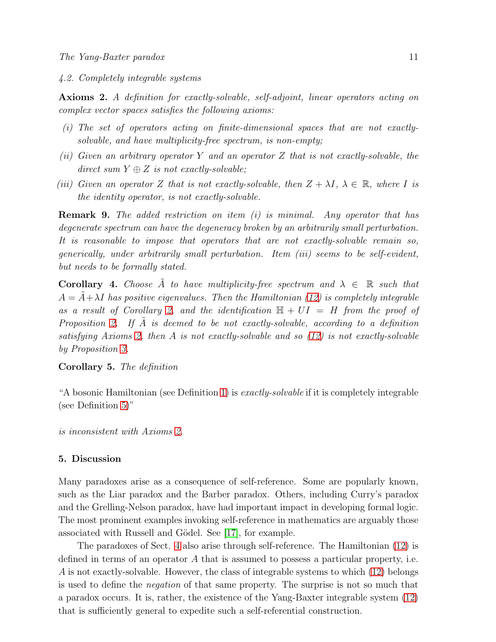4.2. Completely integrable systems

<span id="page-10-0"></span>Axioms 2. A definition for exactly-solvable, self-adjoint, linear operators acting on complex vector spaces satisfies the following axioms:

- (i) The set of operators acting on finite-dimensional spaces that are not exactlysolvable, and have multiplicity-free spectrum, is non-empty;
- (ii) Given an arbitrary operator Y and an operator Z that is not exactly-solvable, the direct sum  $Y \oplus Z$  is not exactly-solvable;
- (iii) Given an operator Z that is not exactly-solvable, then  $Z + \lambda I$ ,  $\lambda \in \mathbb{R}$ , where I is the identity operator, is not exactly-solvable.

**Remark 9.** The added restriction on item  $(i)$  is minimal. Any operator that has degenerate spectrum can have the degeneracy broken by an arbitrarily small perturbation. It is reasonable to impose that operators that are not exactly-solvable remain so, generically, under arbitrarily small perturbation. Item (iii) seems to be self-evident, but needs to be formally stated.

**Corollary 4.** Choose  $\tilde{A}$  to have multiplicity-free spectrum and  $\lambda \in \mathbb{R}$  such that  $A = A + \lambda I$  has positive eigenvalues. Then the Hamiltonian [\(12\)](#page-8-0) is completely integrable as a result of Corollary [2,](#page-7-0) and the identification  $\mathbb{H} + UI = H$  from the proof of Proposition [2.](#page-9-0) If  $A$  is deemed to be not exactly-solvable, according to a definition satisfying Axioms [2,](#page-10-0) then A is not exactly-solvable and so [\(12\)](#page-8-0) is not exactly-solvable by Proposition [3.](#page-9-1)

# Corollary 5. The definition

"A bosonic Hamiltonian (see Definition [1\)](#page-1-1) is  $\emph{exactly-solvable}$  if it is completely integrable (see Definition [5\)](#page-2-2)"

is inconsistent with Axioms [2.](#page-10-0)

# 5. Discussion

Many paradoxes arise as a consequence of self-reference. Some are popularly known, such as the Liar paradox and the Barber paradox. Others, including Curry's paradox and the Grelling-Nelson paradox, have had important impact in developing formal logic. The most prominent examples invoking self-reference in mathematics are arguably those associated with Russell and Gödel. See [\[17\]](#page-14-24), for example.

The paradoxes of Sect. [4](#page-8-2) also arise through self-reference. The Hamiltonian [\(12\)](#page-8-0) is defined in terms of an operator  $A$  that is assumed to possess a particular property, i.e. A is not exactly-solvable. However, the class of integrable systems to which [\(12\)](#page-8-0) belongs is used to define the negation of that same property. The surprise is not so much that a paradox occurs. It is, rather, the existence of the Yang-Baxter integrable system [\(12\)](#page-8-0) that is sufficiently general to expedite such a self-referential construction.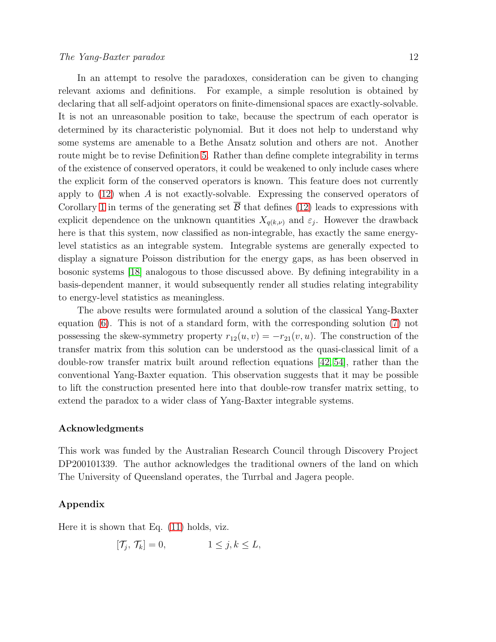In an attempt to resolve the paradoxes, consideration can be given to changing relevant axioms and definitions. For example, a simple resolution is obtained by declaring that all self-adjoint operators on finite-dimensional spaces are exactly-solvable. It is not an unreasonable position to take, because the spectrum of each operator is determined by its characteristic polynomial. But it does not help to understand why some systems are amenable to a Bethe Ansatz solution and others are not. Another route might be to revise Definition [5.](#page-2-2) Rather than define complete integrability in terms of the existence of conserved operators, it could be weakened to only include cases where the explicit form of the conserved operators is known. This feature does not currently apply to  $(12)$  when A is not exactly-solvable. Expressing the conserved operators of Corollary [1](#page-7-1) in terms of the generating set  $\overline{B}$  that defines [\(12\)](#page-8-0) leads to expressions with

explicit dependence on the unknown quantities  $X_{q(k,\nu)}$  and  $\varepsilon_j$ . However the drawback here is that this system, now classified as non-integrable, has exactly the same energylevel statistics as an integrable system. Integrable systems are generally expected to display a signature Poisson distribution for the energy gaps, as has been observed in bosonic systems [\[18\]](#page-14-25) analogous to those discussed above. By defining integrability in a basis-dependent manner, it would subsequently render all studies relating integrability to energy-level statistics as meaningless.

The above results were formulated around a solution of the classical Yang-Baxter equation [\(6\)](#page-4-0). This is not of a standard form, with the corresponding solution [\(7\)](#page-5-0) not possessing the skew-symmetry property  $r_{12}(u, v) = -r_{21}(v, u)$ . The construction of the transfer matrix from this solution can be understood as the quasi-classical limit of a double-row transfer matrix built around reflection equations [\[42,](#page-15-16) [54\]](#page-15-26), rather than the conventional Yang-Baxter equation. This observation suggests that it may be possible to lift the construction presented here into that double-row transfer matrix setting, to extend the paradox to a wider class of Yang-Baxter integrable systems.

### Acknowledgments

This work was funded by the Australian Research Council through Discovery Project DP200101339. The author acknowledges the traditional owners of the land on which The University of Queensland operates, the Turrbal and Jagera people.

# Appendix

Here it is shown that Eq. [\(11\)](#page-6-1) holds, viz.

$$
[\mathcal{T}_j, \mathcal{T}_k] = 0, \qquad 1 \le j, k \le L,
$$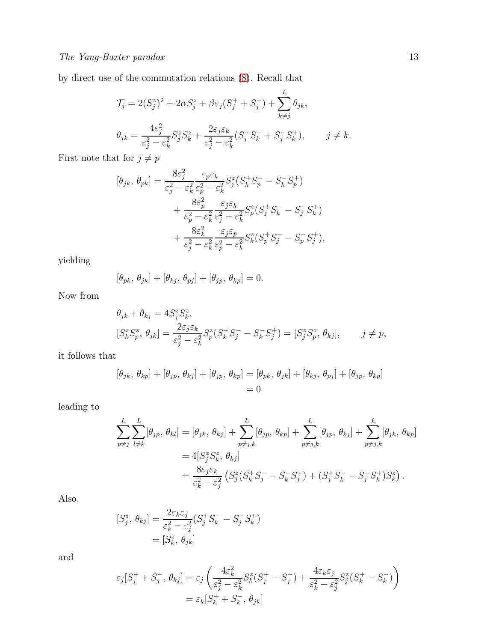by direct use of the commutation relations [\(8\)](#page-5-1). Recall that

$$
\mathcal{T}_j = 2(S_j^z)^2 + 2\alpha S_j^z + \beta \varepsilon_j (S_j^+ + S_j^-) + \sum_{k \neq j}^{L} \theta_{jk},
$$
  

$$
\theta_{jk} = \frac{4\varepsilon_j^2}{\varepsilon_j^2 - \varepsilon_k^2} S_j^z S_k^z + \frac{2\varepsilon_j \varepsilon_k}{\varepsilon_j^2 - \varepsilon_k^2} (S_j^+ S_k^- + S_j^- S_k^+), \qquad j \neq k.
$$

First note that for  $j\neq p$ 

$$
[\theta_{jk}, \theta_{pk}] = \frac{8\varepsilon_j^2}{\varepsilon_j^2 - \varepsilon_k^2} \frac{\varepsilon_p \varepsilon_k}{\varepsilon_p^2 - \varepsilon_k^2} S_j^z (S_k^+ S_p^- - S_k^- S_p^+) + \frac{8\varepsilon_p^2}{\varepsilon_p^2 - \varepsilon_k^2} \frac{\varepsilon_j \varepsilon_k}{\varepsilon_j^2 - \varepsilon_k^2} S_p^z (S_j^+ S_k^- - S_j^- S_k^+) + \frac{8\varepsilon_k^2}{\varepsilon_j^2 - \varepsilon_k^2} \frac{\varepsilon_j \varepsilon_p}{\varepsilon_p^2 - \varepsilon_k^2} S_k^z (S_p^+ S_j^- - S_p^- S_j^+),
$$

yielding

$$
[\theta_{pk}, \theta_{jk}] + [\theta_{kj}, \theta_{pj}] + [\theta_{jp}, \theta_{kp}] = 0.
$$

Now from

$$
\theta_{jk} + \theta_{kj} = 4S_j^z S_k^z,
$$
  
\n
$$
[S_k^z S_p^z, \theta_{jk}] = \frac{2\varepsilon_j \varepsilon_k}{\varepsilon_j^2 - \varepsilon_k^2} S_p^z (S_k^+ S_j^- - S_k^- S_j^+) = [S_j^z S_p^z, \theta_{kj}], \qquad j \neq p,
$$

it follows that

$$
[\theta_{jk}, \theta_{kp}] + [\theta_{jp}, \theta_{kj}] + [\theta_{jp}, \theta_{kp}] = [\theta_{pk}, \theta_{jk}] + [\theta_{kj}, \theta_{pj}] + [\theta_{jp}, \theta_{kp}]
$$
  
= 0

leading to

$$
\sum_{p \neq j}^{L} \sum_{l \neq k}^{L} [\theta_{jp}, \theta_{kl}] = [\theta_{jk}, \theta_{kj}] + \sum_{p \neq j,k}^{L} [\theta_{jp}, \theta_{kp}] + \sum_{p \neq j,k}^{L} [\theta_{jp}, \theta_{kj}] + \sum_{p \neq j,k}^{L} [\theta_{jk}, \theta_{kp}]
$$
  
=  $4[S_j^z S_k^z, \theta_{kj}]$   
=  $\frac{8\varepsilon_j \varepsilon_k}{\varepsilon_k^2 - \varepsilon_j^2} (S_j^z (S_k^+ S_j^- - S_k^- S_j^+) + (S_j^+ S_k^- - S_j^- S_k^+) S_k^z).$ 

Also,

$$
[S_j^z, \theta_{kj}] = \frac{2\varepsilon_k \varepsilon_j}{\varepsilon_k^2 - \varepsilon_j^2} (S_j^+ S_k^- - S_j^- S_k^+)
$$

$$
= [S_k^z, \theta_{jk}]
$$

and

$$
\varepsilon_j[S_j^+ + S_j^-, \theta_{kj}] = \varepsilon_j \left( \frac{4\varepsilon_k^2}{\varepsilon_j^2 - \varepsilon_k^2} S_k^z (S_j^+ - S_j^-) + \frac{4\varepsilon_k \varepsilon_j}{\varepsilon_k^2 - \varepsilon_j^2} S_j^z (S_k^+ - S_k^-) \right)
$$
  
=  $\varepsilon_k[S_k^+ + S_k^-, \theta_{jk}]$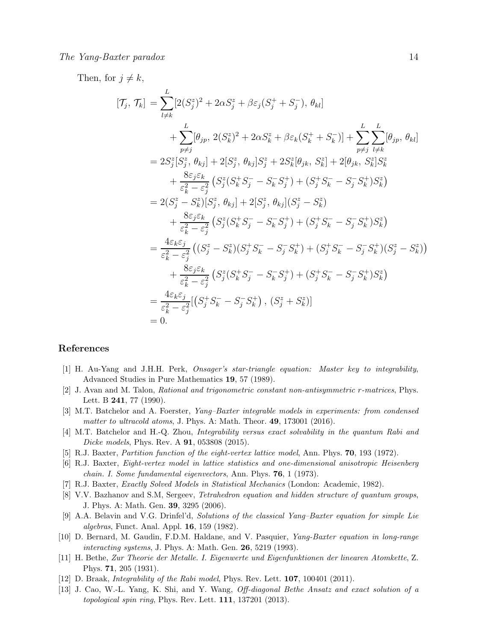#### $The Yang-Barter$  paradox  $14$

Then, for  $j \neq k$ ,

$$
[\mathcal{T}_{j}, \mathcal{T}_{k}] = \sum_{l \neq k}^{L} [2(S_{j}^{z})^{2} + 2\alpha S_{j}^{z} + \beta \varepsilon_{j}(S_{j}^{+} + S_{j}^{-}), \theta_{kl}] + \sum_{p \neq j}^{L} [\theta_{jp}, 2(S_{k}^{z})^{2} + 2\alpha S_{k}^{z} + \beta \varepsilon_{k}(S_{k}^{+} + S_{k}^{-})] + \sum_{p \neq j}^{L} \sum_{l \neq k}^{L} [\theta_{jp}, \theta_{kl}] = 2S_{j}^{z}[S_{j}^{z}, \theta_{kj}] + 2[S_{j}^{z}, \theta_{kj}]S_{j}^{z} + 2S_{k}^{z}[\theta_{jk}, S_{k}^{z}] + 2[\theta_{jk}, S_{k}^{z}]S_{k}^{z} + \frac{8\varepsilon_{j}\varepsilon_{k}}{\varepsilon_{k}^{2} - \varepsilon_{j}^{2}} (S_{j}^{z}(S_{k}^{+}S_{j}^{-} - S_{k}^{-}S_{j}^{+}) + (S_{j}^{+}S_{k}^{-} - S_{j}^{-}S_{k}^{+})S_{k}^{z}) = 2(S_{j}^{z} - S_{k}^{z})[S_{j}^{z}, \theta_{kj}] + 2[S_{j}^{z}, \theta_{kj}](S_{j}^{z} - S_{k}^{z}) + \frac{8\varepsilon_{j}\varepsilon_{k}}{\varepsilon_{k}^{2} - \varepsilon_{j}^{2}} (S_{j}^{z}(S_{k}^{+}S_{j}^{-} - S_{k}^{-}S_{j}^{+}) + (S_{j}^{+}S_{k}^{-} - S_{j}^{-}S_{k}^{+})S_{k}^{z}) = \frac{4\varepsilon_{k}\varepsilon_{j}}{\varepsilon_{k}^{2} - \varepsilon_{j}^{2}} ((S_{j}^{z} - S_{k}^{z})(S_{j}^{+}S_{k}^{-} - S_{j}^{-}S_{k}^{+}) + (S_{j}^{+}S_{k}^{-} - S_{j}^{-}S_{k}^{+})(S_{j}^{z} - S_{k}^{z})) + \frac{8\varepsilon_{j}\varepsilon_{k}}{\varepsilon_{k}^{2} - \varepsilon_{j}^{2}} (S_{j}^{z}(S_{k}^{+}S_{j}^{-} - S_{k}^{-}S_{j}
$$

#### <span id="page-13-9"></span>References

- [1] H. Au-Yang and J.H.H. Perk, Onsager's star-triangle equation: Master key to integrability, Advanced Studies in Pure Mathematics 19, 57 (1989).
- <span id="page-13-12"></span>[2] J. Avan and M. Talon, Rational and trigonometric constant non-antisymmetric r-matrices, Phys. Lett. B 241, 77 (1990).
- <span id="page-13-0"></span>[3] M.T. Batchelor and A. Foerster, Yang–Baxter integrable models in experiments: from condensed matter to ultracold atoms, J. Phys. A: Math. Theor.  $49$ , 173001 (2016).
- <span id="page-13-6"></span><span id="page-13-1"></span>[4] M.T. Batchelor and H.-Q. Zhou, Integrability versus exact solvability in the quantum Rabi and Dicke models, Phys. Rev. A **91**, 053808 (2015).
- <span id="page-13-2"></span>[5] R.J. Baxter, Partition function of the eight-vertex lattice model, Ann. Phys. 70, 193 (1972).
- <span id="page-13-7"></span>[6] R.J. Baxter, Eight-vertex model in lattice statistics and one-dimensional anisotropic Heisenberg chain. I. Some fundamental eigenvectors, Ann. Phys. 76, 1 (1973).
- <span id="page-13-10"></span>[7] R.J. Baxter, Exactly Solved Models in Statistical Mechanics (London: Academic, 1982).
- [8] V.V. Bazhanov and S.M, Sergeev, Tetrahedron equation and hidden structure of quantum groups, J. Phys. A: Math. Gen. 39, 3295 (2006).
- <span id="page-13-8"></span>[9] A.A. Belavin and V.G. Drinfel'd, Solutions of the classical Yang–Baxter equation for simple Lie algebras, Funct. Anal. Appl. 16, 159 (1982).
- <span id="page-13-11"></span>[10] D. Bernard, M. Gaudin, F.D.M. Haldane, and V. Pasquier, Yang-Baxter equation in long-range interacting systems, J. Phys. A: Math. Gen. **26**, 5219 (1993).
- <span id="page-13-3"></span>[11] H. Bethe, Zur Theorie der Metalle. I. Eigenwerte und Eigenfunktionen der linearen Atomkette, Z. Phys. 71, 205 (1931).
- <span id="page-13-5"></span><span id="page-13-4"></span>[12] D. Braak, *Integrability of the Rabi model*, Phys. Rev. Lett. **107**, 100401 (2011).
- [13] J. Cao, W.-L. Yang, K. Shi, and Y. Wang, Off-diagonal Bethe Ansatz and exact solution of a topological spin ring, Phys. Rev. Lett. 111, 137201 (2013).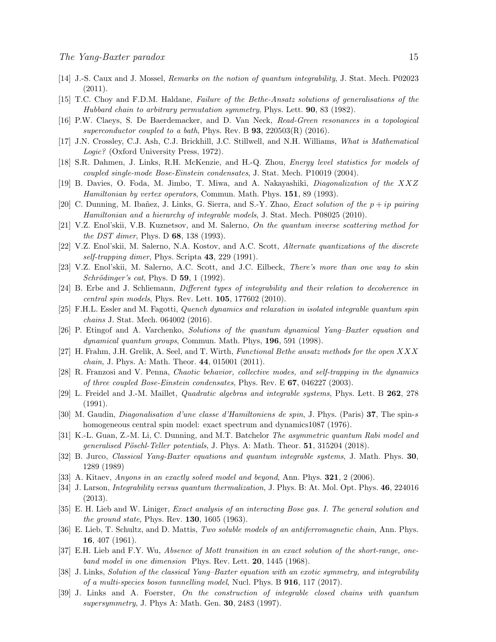- <span id="page-14-20"></span><span id="page-14-0"></span>[14] J.-S. Caux and J. Mossel, Remarks on the notion of quantum integrability, J. Stat. Mech. P02023 (2011).
- <span id="page-14-10"></span>[15] T.C. Choy and F.D.M. Haldane, Failure of the Bethe-Ansatz solutions of generalisations of the Hubbard chain to arbitrary permutation symmetry, Phys. Lett. 90, 83 (1982).
- <span id="page-14-24"></span>[16] P.W. Claeys, S. De Baerdemacker, and D. Van Neck, Read-Green resonances in a topological superconductor coupled to a bath, Phys. Rev. B  $93$ ,  $220503(R)$  (2016).
- <span id="page-14-25"></span>[17] J.N. Crossley, C.J. Ash, C.J. Brickhill, J.C. Stillwell, and N.H. Williams, What is Mathematical Logic? (Oxford University Press, 1972).
- <span id="page-14-15"></span>[18] S.R. Dahmen, J. Links, R.H. McKenzie, and H.-Q. Zhou, Energy level statistics for models of coupled single-mode Bose-Einstein condensates, J. Stat. Mech. P10019 (2004).
- <span id="page-14-11"></span>[19] B. Davies, O. Foda, M. Jimbo, T. Miwa, and A. Nakayashiki, Diagonalization of the XXZ Hamiltonian by vertex operators, Commun. Math. Phys. 151, 89 (1993).
- <span id="page-14-16"></span>[20] C. Dunning, M. Ibañez, J. Links, G. Sierra, and S.-Y. Zhao, *Exact solution of the*  $p + ip$  *pairing* Hamiltonian and a hierarchy of integrable models, J. Stat. Mech. P08025 (2010).
- <span id="page-14-17"></span>[21] V.Z. Enol'skii, V.B. Kuznetsov, and M. Salerno, On the quantum inverse scattering method for the DST dimer, Phys. D 68, 138 (1993).
- <span id="page-14-18"></span>[22] V.Z. Enol'skii, M. Salerno, N.A. Kostov, and A.C. Scott, Alternate quantizations of the discrete self-trapping dimer, Phys. Scripta  $43, 229$  (1991).
- [23] V.Z. Enol'skii, M. Salerno, A.C. Scott, and J.C. Eilbeck, There's more than one way to skin  $Schrödinger's cat$ , Phys. D 59, 1 (1992).
- <span id="page-14-8"></span><span id="page-14-1"></span>[24] B. Erbe and J. Schliemann, Different types of integrability and their relation to decoherence in central spin models, Phys. Rev. Lett. 105, 177602 (2010).
- <span id="page-14-13"></span>[25] F.H.L. Essler and M. Fagotti, Quench dynamics and relaxation in isolated integrable quantum spin chains J. Stat. Mech. 064002 (2016).
- <span id="page-14-3"></span>[26] P. Etingof and A. Varchenko, Solutions of the quantum dynamical Yang–Baxter equation and dynamical quantum groups, Commun. Math. Phys, 196, 591 (1998).
- <span id="page-14-21"></span>[27] H. Frahm, J.H. Grelik, A. Seel, and T. Wirth, Functional Bethe ansatz methods for the open XXX chain, J. Phys. A: Math. Theor. 44, 015001 (2011).
- <span id="page-14-23"></span>[28] R. Franzosi and V. Penna, Chaotic behavior, collective modes, and self-trapping in the dynamics of three coupled Bose-Einstein condensates, Phys. Rev. E 67, 046227 (2003).
- <span id="page-14-9"></span>[29] L. Freidel and J.-M. Maillet, Quadratic algebras and integrable systems, Phys. Lett. B 262, 278 (1991).
- [30] M. Gaudin, Diagonalisation d'une classe d'Hamiltoniens de spin, J. Phys. (Paris) 37, The spin-s homogeneous central spin model: exact spectrum and dynamics1087 (1976).
- <span id="page-14-6"></span>[31] K.-L. Guan, Z.-M. Li, C. Dunning, and M.T. Batchelor The asymmetric quantum Rabi model and generalised Pöschl-Teller potentials, J. Phys. A: Math. Theor.  $51$ , 315204 (2018).
- <span id="page-14-12"></span>[32] B. Jurco, Classical Yang-Baxter equations and quantum integrable systems, J. Math. Phys. 30, 1289 (1989)
- <span id="page-14-5"></span><span id="page-14-2"></span>[33] A. Kitaev, Anyons in an exactly solved model and beyond, Ann. Phys. 321, 2 (2006).
- <span id="page-14-19"></span>[34] J. Larson, *Integrability versus quantum thermalization*, J. Phys. B: At. Mol. Opt. Phys. **46**, 224016 (2013).
- <span id="page-14-4"></span>[35] E. H. Lieb and W. Liniger, Exact analysis of an interacting Bose gas. I. The general solution and *the ground state*, Phys. Rev.  $130, 1605$  (1963).
- [36] E. Lieb, T. Schultz, and D. Mattis, Two soluble models of an antiferromagnetic chain, Ann. Phys. 16, 407 (1961).
- <span id="page-14-7"></span>[37] E.H. Lieb and F.Y. Wu, Absence of Mott transition in an exact solution of the short-range, oneband model in one dimension Phys. Rev. Lett. **20**, 1445 (1968).
- <span id="page-14-22"></span>[38] J. Links, Solution of the classical Yang–Baxter equation with an exotic symmetry, and integrability of a multi-species boson tunnelling model, Nucl. Phys. B 916, 117 (2017).
- <span id="page-14-14"></span>[39] J. Links and A. Foerster, On the construction of integrable closed chains with quantum supersymmetry, J. Phys A: Math. Gen. 30, 2483 (1997).